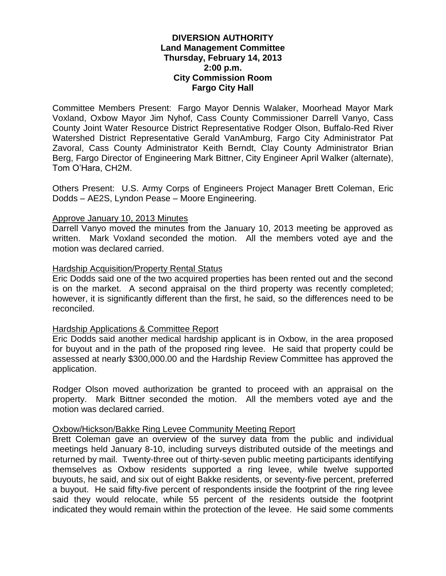# **DIVERSION AUTHORITY Land Management Committee Thursday, February 14, 2013 2:00 p.m. City Commission Room Fargo City Hall**

Committee Members Present: Fargo Mayor Dennis Walaker, Moorhead Mayor Mark Voxland, Oxbow Mayor Jim Nyhof, Cass County Commissioner Darrell Vanyo, Cass County Joint Water Resource District Representative Rodger Olson, Buffalo-Red River Watershed District Representative Gerald VanAmburg, Fargo City Administrator Pat Zavoral, Cass County Administrator Keith Berndt, Clay County Administrator Brian Berg, Fargo Director of Engineering Mark Bittner, City Engineer April Walker (alternate), Tom O'Hara, CH2M.

Others Present: U.S. Army Corps of Engineers Project Manager Brett Coleman, Eric Dodds – AE2S, Lyndon Pease – Moore Engineering.

# Approve January 10, 2013 Minutes

Darrell Vanyo moved the minutes from the January 10, 2013 meeting be approved as written. Mark Voxland seconded the motion. All the members voted aye and the motion was declared carried.

# Hardship Acquisition/Property Rental Status

Eric Dodds said one of the two acquired properties has been rented out and the second is on the market. A second appraisal on the third property was recently completed; however, it is significantly different than the first, he said, so the differences need to be reconciled.

# Hardship Applications & Committee Report

Eric Dodds said another medical hardship applicant is in Oxbow, in the area proposed for buyout and in the path of the proposed ring levee. He said that property could be assessed at nearly \$300,000.00 and the Hardship Review Committee has approved the application.

Rodger Olson moved authorization be granted to proceed with an appraisal on the property. Mark Bittner seconded the motion. All the members voted aye and the motion was declared carried.

# Oxbow/Hickson/Bakke Ring Levee Community Meeting Report

Brett Coleman gave an overview of the survey data from the public and individual meetings held January 8-10, including surveys distributed outside of the meetings and returned by mail. Twenty-three out of thirty-seven public meeting participants identifying themselves as Oxbow residents supported a ring levee, while twelve supported buyouts, he said, and six out of eight Bakke residents, or seventy-five percent, preferred a buyout. He said fifty-five percent of respondents inside the footprint of the ring levee said they would relocate, while 55 percent of the residents outside the footprint indicated they would remain within the protection of the levee. He said some comments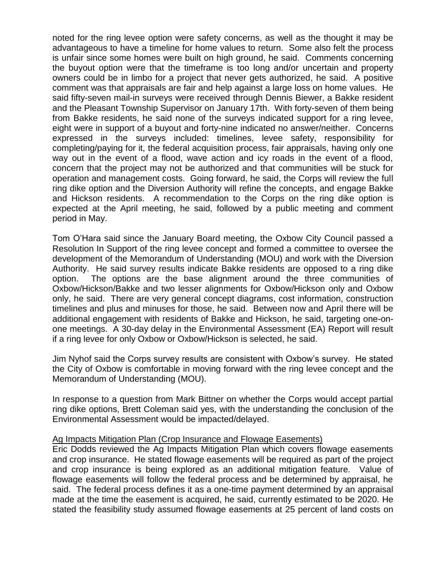noted for the ring levee option were safety concerns, as well as the thought it may be advantageous to have a timeline for home values to return. Some also felt the process is unfair since some homes were built on high ground, he said. Comments concerning the buyout option were that the timeframe is too long and/or uncertain and property owners could be in limbo for a project that never gets authorized, he said. A positive comment was that appraisals are fair and help against a large loss on home values. He said fifty-seven mail-in surveys were received through Dennis Biewer, a Bakke resident and the Pleasant Township Supervisor on January 17th. With forty-seven of them being from Bakke residents, he said none of the surveys indicated support for a ring levee, eight were in support of a buyout and forty-nine indicated no answer/neither. Concerns expressed in the surveys included: timelines, levee safety, responsibility for completing/paying for it, the federal acquisition process, fair appraisals, having only one way out in the event of a flood, wave action and icy roads in the event of a flood, concern that the project may not be authorized and that communities will be stuck for operation and management costs. Going forward, he said, the Corps will review the full ring dike option and the Diversion Authority will refine the concepts, and engage Bakke and Hickson residents. A recommendation to the Corps on the ring dike option is expected at the April meeting, he said, followed by a public meeting and comment period in May.

Tom O'Hara said since the January Board meeting, the Oxbow City Council passed a Resolution In Support of the ring levee concept and formed a committee to oversee the development of the Memorandum of Understanding (MOU) and work with the Diversion Authority. He said survey results indicate Bakke residents are opposed to a ring dike option. The options are the base alignment around the three communities of Oxbow/Hickson/Bakke and two lesser alignments for Oxbow/Hickson only and Oxbow only, he said. There are very general concept diagrams, cost information, construction timelines and plus and minuses for those, he said. Between now and April there will be additional engagement with residents of Bakke and Hickson, he said, targeting one-onone meetings. A 30-day delay in the Environmental Assessment (EA) Report will result if a ring levee for only Oxbow or Oxbow/Hickson is selected, he said.

Jim Nyhof said the Corps survey results are consistent with Oxbow's survey. He stated the City of Oxbow is comfortable in moving forward with the ring levee concept and the Memorandum of Understanding (MOU).

In response to a question from Mark Bittner on whether the Corps would accept partial ring dike options, Brett Coleman said yes, with the understanding the conclusion of the Environmental Assessment would be impacted/delayed.

# Ag Impacts Mitigation Plan (Crop Insurance and Flowage Easements)

Eric Dodds reviewed the Ag Impacts Mitigation Plan which covers flowage easements and crop insurance. He stated flowage easements will be required as part of the project and crop insurance is being explored as an additional mitigation feature. Value of flowage easements will follow the federal process and be determined by appraisal, he said. The federal process defines it as a one-time payment determined by an appraisal made at the time the easement is acquired, he said, currently estimated to be 2020. He stated the feasibility study assumed flowage easements at 25 percent of land costs on